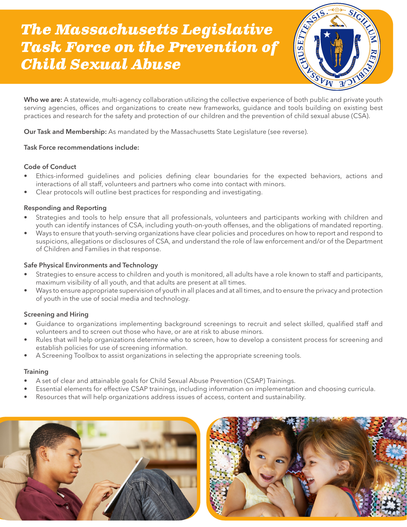# *The Massachusetts Legislative Task Force on the Prevention of Child Sexual Abuse*



Who we are: A statewide, multi-agency collaboration utilizing the collective experience of both public and private youth serving agencies, offices and organizations to create new frameworks, guidance and tools building on existing best practices and research for the safety and protection of our children and the prevention of child sexual abuse (CSA).

Our Task and Membership: As mandated by the Massachusetts State Legislature (see reverse).

## Task Force recommendations include:

#### Code of Conduct

- Ethics-informed guidelines and policies defining clear boundaries for the expected behaviors, actions and interactions of all staff, volunteers and partners who come into contact with minors.
- Clear protocols will outline best practices for responding and investigating.

## Responding and Reporting

- Strategies and tools to help ensure that all professionals, volunteers and participants working with children and youth can identify instances of CSA, including youth-on-youth offenses, and the obligations of mandated reporting.
- Ways to ensure that youth-serving organizations have clear policies and procedures on how to report and respond to suspicions, allegations or disclosures of CSA, and understand the role of law enforcement and/or of the Department of Children and Families in that response.

#### Safe Physical Environments and Technology

- Strategies to ensure access to children and youth is monitored, all adults have a role known to staff and participants, maximum visibility of all youth, and that adults are present at all times.
- Ways to ensure appropriate supervision of youth in all places and at all times, and to ensure the privacy and protection of youth in the use of social media and technology.

#### Screening and Hiring

- Guidance to organizations implementing background screenings to recruit and select skilled, qualified staff and volunteers and to screen out those who have, or are at risk to abuse minors.
- Rules that will help organizations determine who to screen, how to develop a consistent process for screening and establish policies for use of screening information.
- A Screening Toolbox to assist organizations in selecting the appropriate screening tools.

#### **Training**

- A set of clear and attainable goals for Child Sexual Abuse Prevention (CSAP) Trainings.
- Essential elements for effective CSAP trainings, including information on implementation and choosing curricula.
- Resources that will help organizations address issues of access, content and sustainability.